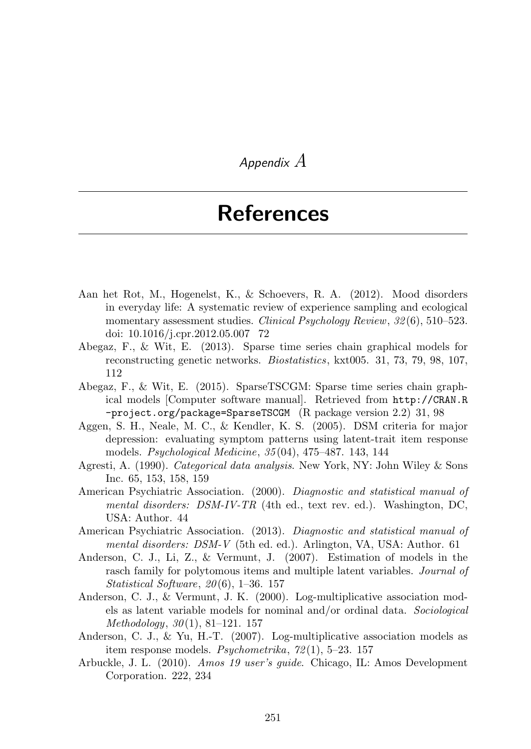## *Appendix A*

## References

- Aan het Rot, M., Hogenelst, K., & Schoevers, R. A. (2012). Mood disorders in everyday life: A systematic review of experience sampling and ecological momentary assessment studies. *Clinical Psychology Review*, *32* (6), 510–523. doi: 10.1016/j.cpr.2012.05.007 72
- Abegaz, F., & Wit, E. (2013). Sparse time series chain graphical models for reconstructing genetic networks. *Biostatistics*, kxt005. 31, 73, 79, 98, 107, 112
- Abegaz, F., & Wit, E. (2015). SparseTSCGM: Sparse time series chain graphical models [Computer software manual]. Retrieved from http://CRAN.R -project.org/package=SparseTSCGM (R package version 2.2) 31, 98
- Aggen, S. H., Neale, M. C., & Kendler, K. S. (2005). DSM criteria for major depression: evaluating symptom patterns using latent-trait item response models. *Psychological Medicine*, *35* (04), 475–487. 143, 144
- Agresti, A. (1990). *Categorical data analysis*. New York, NY: John Wiley & Sons Inc. 65, 153, 158, 159
- American Psychiatric Association. (2000). *Diagnostic and statistical manual of mental disorders: DSM-IV-TR* (4th ed., text rev. ed.). Washington, DC, USA: Author. 44
- American Psychiatric Association. (2013). *Diagnostic and statistical manual of mental disorders: DSM-V* (5th ed. ed.). Arlington, VA, USA: Author. 61
- Anderson, C. J., Li, Z., & Vermunt, J. (2007). Estimation of models in the rasch family for polytomous items and multiple latent variables. *Journal of Statistical Software*, *20* (6), 1–36. 157
- Anderson, C. J., & Vermunt, J. K. (2000). Log-multiplicative association models as latent variable models for nominal and/or ordinal data. *Sociological Methodology*, *30* (1), 81–121. 157
- Anderson, C. J., & Yu, H.-T. (2007). Log-multiplicative association models as item response models. *Psychometrika*, *72* (1), 5–23. 157
- Arbuckle, J. L. (2010). *Amos 19 user's guide*. Chicago, IL: Amos Development Corporation. 222, 234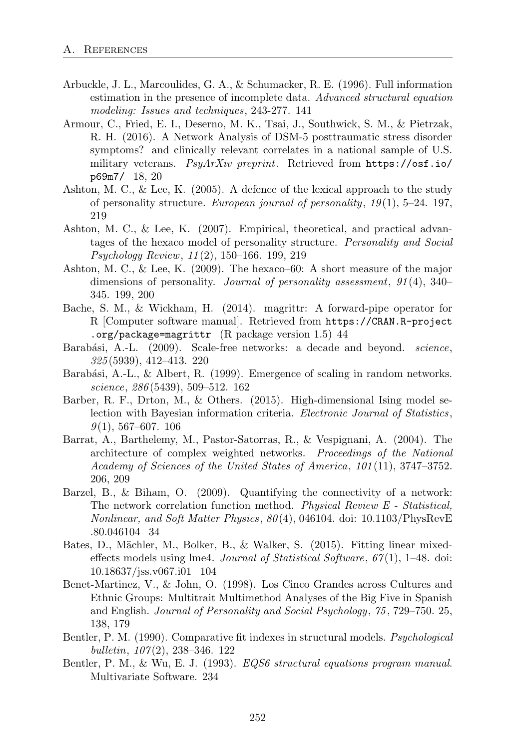- Arbuckle, J. L., Marcoulides, G. A., & Schumacker, R. E. (1996). Full information estimation in the presence of incomplete data. *Advanced structural equation modeling: Issues and techniques*, 243-277. 141
- Armour, C., Fried, E. I., Deserno, M. K., Tsai, J., Southwick, S. M., & Pietrzak, R. H. (2016). A Network Analysis of DSM-5 posttraumatic stress disorder symptoms? and clinically relevant correlates in a national sample of U.S. military veterans. *PsyArXiv preprint*. Retrieved from https://osf.io/ p69m7/ 18, 20
- Ashton, M. C., & Lee, K. (2005). A defence of the lexical approach to the study of personality structure. *European journal of personality*, *19* (1), 5–24. 197, 219
- Ashton, M. C., & Lee, K. (2007). Empirical, theoretical, and practical advantages of the hexaco model of personality structure. *Personality and Social Psychology Review*, *11* (2), 150–166. 199, 219
- Ashton, M. C., & Lee, K. (2009). The hexaco–60: A short measure of the major dimensions of personality. *Journal of personality assessment*, *91* (4), 340– 345. 199, 200
- Bache, S. M., & Wickham, H. (2014). magrittr: A forward-pipe operator for R [Computer software manual]. Retrieved from https://CRAN.R-project .org/package=magrittr  $(R$  package version 1.5) 44
- Barab´asi, A.-L. (2009). Scale-free networks: a decade and beyond. *science*, *325* (5939), 412–413. 220
- Barabási, A.-L., & Albert, R. (1999). Emergence of scaling in random networks. *science*, *286* (5439), 509–512. 162
- Barber, R. F., Drton, M., & Others. (2015). High-dimensional Ising model selection with Bayesian information criteria. *Electronic Journal of Statistics*, *9* (1), 567–607. 106
- Barrat, A., Barthelemy, M., Pastor-Satorras, R., & Vespignani, A. (2004). The architecture of complex weighted networks. *Proceedings of the National Academy of Sciences of the United States of America*, *101* (11), 3747–3752. 206, 209
- Barzel, B., & Biham, O. (2009). Quantifying the connectivity of a network: The network correlation function method. *Physical Review E - Statistical, Nonlinear, and Soft Matter Physics*, *80* (4), 046104. doi: 10.1103/PhysRevE .80.046104 34
- Bates, D., Mächler, M., Bolker, B., & Walker, S. (2015). Fitting linear mixedeffects models using lme4. *Journal of Statistical Software*,  $67(1)$ , 1–48. doi: 10.18637/jss.v067.i01 104
- Benet-Martinez, V., & John, O. (1998). Los Cinco Grandes across Cultures and Ethnic Groups: Multitrait Multimethod Analyses of the Big Five in Spanish and English. *Journal of Personality and Social Psychology*, *75* , 729–750. 25, 138, 179
- Bentler, P. M. (1990). Comparative fit indexes in structural models. *Psychological bulletin*, *107* (2), 238–346. 122
- Bentler, P. M., & Wu, E. J. (1993). *EQS6 structural equations program manual*. Multivariate Software. 234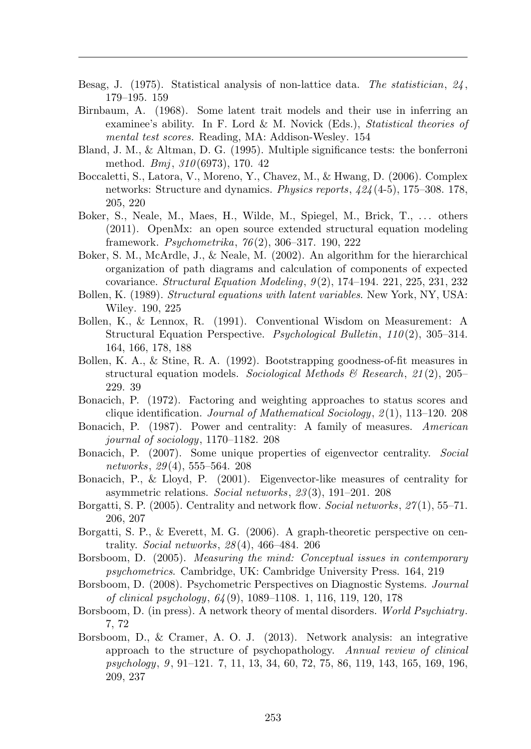- Besag, J. (1975). Statistical analysis of non-lattice data. *The statistician*, *24* , 179–195. 159
- Birnbaum, A. (1968). Some latent trait models and their use in inferring an examinee's ability. In F. Lord & M. Novick (Eds.), *Statistical theories of mental test scores.* Reading, MA: Addison-Wesley. 154
- Bland, J. M., & Altman, D. G. (1995). Multiple significance tests: the bonferroni method. *Bmj*, *310* (6973), 170. 42
- Boccaletti, S., Latora, V., Moreno, Y., Chavez, M., & Hwang, D. (2006). Complex networks: Structure and dynamics. *Physics reports*, *424* (4-5), 175–308. 178, 205, 220
- Boker, S., Neale, M., Maes, H., Wilde, M., Spiegel, M., Brick, T., ... others (2011). OpenMx: an open source extended structural equation modeling framework. *Psychometrika*, *76* (2), 306–317. 190, 222
- Boker, S. M., McArdle, J., & Neale, M. (2002). An algorithm for the hierarchical organization of path diagrams and calculation of components of expected covariance. *Structural Equation Modeling*, *9* (2), 174–194. 221, 225, 231, 232
- Bollen, K. (1989). *Structural equations with latent variables*. New York, NY, USA: Wiley. 190, 225
- Bollen, K., & Lennox, R. (1991). Conventional Wisdom on Measurement: A Structural Equation Perspective. *Psychological Bulletin*, *110* (2), 305–314. 164, 166, 178, 188
- Bollen, K. A., & Stine, R. A. (1992). Bootstrapping goodness-of-fit measures in structural equation models. *Sociological Methods & Research*, *21* (2), 205– 229. 39
- Bonacich, P. (1972). Factoring and weighting approaches to status scores and clique identification. *Journal of Mathematical Sociology*, *2* (1), 113–120. 208
- Bonacich, P. (1987). Power and centrality: A family of measures. *American journal of sociology*, 1170–1182. 208
- Bonacich, P. (2007). Some unique properties of eigenvector centrality. *Social networks*, *29* (4), 555–564. 208
- Bonacich, P., & Lloyd, P. (2001). Eigenvector-like measures of centrality for asymmetric relations. *Social networks*, *23* (3), 191–201. 208
- Borgatti, S. P. (2005). Centrality and network flow. *Social networks*, *27* (1), 55–71. 206, 207
- Borgatti, S. P., & Everett, M. G. (2006). A graph-theoretic perspective on centrality. *Social networks*, *28* (4), 466–484. 206
- Borsboom, D. (2005). *Measuring the mind: Conceptual issues in contemporary psychometrics*. Cambridge, UK: Cambridge University Press. 164, 219
- Borsboom, D. (2008). Psychometric Perspectives on Diagnostic Systems. *Journal of clinical psychology*, *64* (9), 1089–1108. 1, 116, 119, 120, 178
- Borsboom, D. (in press). A network theory of mental disorders. *World Psychiatry*. 7, 72
- Borsboom, D., & Cramer, A. O. J. (2013). Network analysis: an integrative approach to the structure of psychopathology. *Annual review of clinical psychology*, *9* , 91–121. 7, 11, 13, 34, 60, 72, 75, 86, 119, 143, 165, 169, 196, 209, 237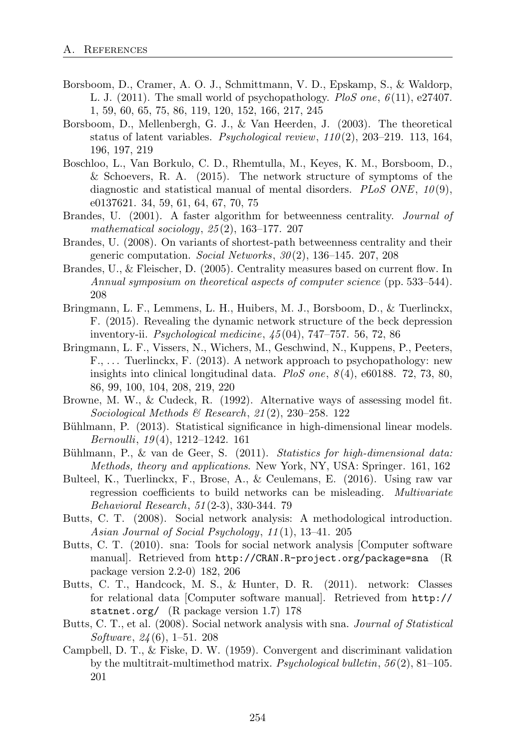- Borsboom, D., Cramer, A. O. J., Schmittmann, V. D., Epskamp, S., & Waldorp, L. J. (2011). The small world of psychopathology. *PloS one*, *6* (11), e27407. 1, 59, 60, 65, 75, 86, 119, 120, 152, 166, 217, 245
- Borsboom, D., Mellenbergh, G. J., & Van Heerden, J. (2003). The theoretical status of latent variables. *Psychological review*, *110* (2), 203–219. 113, 164, 196, 197, 219
- Boschloo, L., Van Borkulo, C. D., Rhemtulla, M., Keyes, K. M., Borsboom, D., & Schoevers, R. A. (2015). The network structure of symptoms of the diagnostic and statistical manual of mental disorders. *PLoS ONE*,  $10(9)$ , e0137621. 34, 59, 61, 64, 67, 70, 75
- Brandes, U. (2001). A faster algorithm for betweenness centrality. *Journal of mathematical sociology*, *25* (2), 163–177. 207
- Brandes, U. (2008). On variants of shortest-path betweenness centrality and their generic computation. *Social Networks*, *30* (2), 136–145. 207, 208
- Brandes, U., & Fleischer, D. (2005). Centrality measures based on current flow. In *Annual symposium on theoretical aspects of computer science* (pp. 533–544). 208
- Bringmann, L. F., Lemmens, L. H., Huibers, M. J., Borsboom, D., & Tuerlinckx, F. (2015). Revealing the dynamic network structure of the beck depression inventory-ii. *Psychological medicine*, *45* (04), 747–757. 56, 72, 86
- Bringmann, L. F., Vissers, N., Wichers, M., Geschwind, N., Kuppens, P., Peeters, F., . . . Tuerlinckx, F. (2013). A network approach to psychopathology: new insights into clinical longitudinal data. *PloS one*, *8* (4), e60188. 72, 73, 80, 86, 99, 100, 104, 208, 219, 220
- Browne, M. W., & Cudeck, R. (1992). Alternative ways of assessing model fit. *Sociological Methods & Research*, *21* (2), 230–258. 122
- Bühlmann, P. (2013). Statistical significance in high-dimensional linear models. *Bernoulli*, *19* (4), 1212–1242. 161
- Bühlmann, P., & van de Geer, S. (2011). *Statistics for high-dimensional data: Methods, theory and applications*. New York, NY, USA: Springer. 161, 162
- Bulteel, K., Tuerlinckx, F., Brose, A., & Ceulemans, E. (2016). Using raw var regression coefficients to build networks can be misleading. *Multivariate Behavioral Research*, *51* (2-3), 330-344. 79
- Butts, C. T. (2008). Social network analysis: A methodological introduction. *Asian Journal of Social Psychology*, *11* (1), 13–41. 205
- Butts, C. T. (2010). sna: Tools for social network analysis [Computer software manual]. Retrieved from http://CRAN.R-project.org/package=sna (R package version 2.2-0) 182, 206
- Butts, C. T., Handcock, M. S., & Hunter, D. R. (2011). network: Classes for relational data [Computer software manual]. Retrieved from http:// statnet.org/ (R package version 1.7) 178
- Butts, C. T., et al. (2008). Social network analysis with sna. *Journal of Statistical Software*, *24* (6), 1–51. 208
- Campbell, D. T., & Fiske, D. W. (1959). Convergent and discriminant validation by the multitrait-multimethod matrix. *Psychological bulletin*, *56* (2), 81–105. 201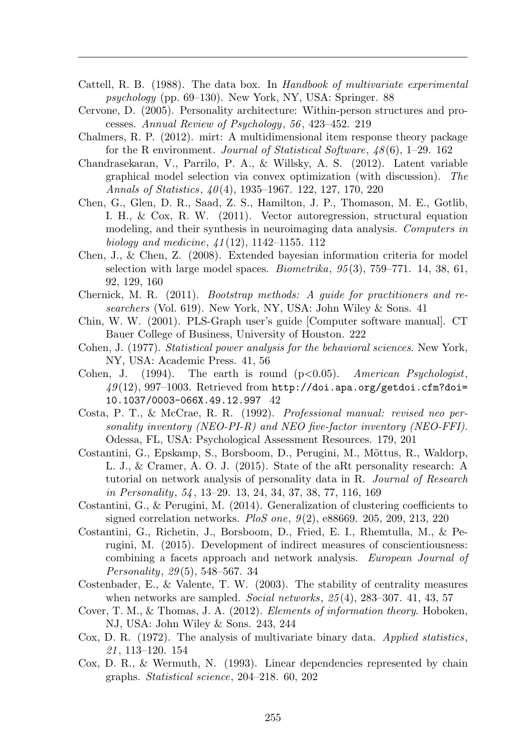- Cattell, R. B. (1988). The data box. In *Handbook of multivariate experimental psychology* (pp. 69–130). New York, NY, USA: Springer. 88
- Cervone, D. (2005). Personality architecture: Within-person structures and processes. *Annual Review of Psychology*, *56* , 423–452. 219
- Chalmers, R. P. (2012). mirt: A multidimensional item response theory package for the R environment. *Journal of Statistical Software*, *48* (6), 1–29. 162
- Chandrasekaran, V., Parrilo, P. A., & Willsky, A. S. (2012). Latent variable graphical model selection via convex optimization (with discussion). *The Annals of Statistics*, *40* (4), 1935–1967. 122, 127, 170, 220
- Chen, G., Glen, D. R., Saad, Z. S., Hamilton, J. P., Thomason, M. E., Gotlib, I. H., & Cox, R. W. (2011). Vector autoregression, structural equation modeling, and their synthesis in neuroimaging data analysis. *Computers in biology and medicine*, *41* (12), 1142–1155. 112
- Chen, J., & Chen, Z. (2008). Extended bayesian information criteria for model selection with large model spaces. *Biometrika*, *95* (3), 759–771. 14, 38, 61, 92, 129, 160
- Chernick, M. R. (2011). *Bootstrap methods: A guide for practitioners and researchers* (Vol. 619). New York, NY, USA: John Wiley & Sons. 41
- Chin, W. W. (2001). PLS-Graph user's guide [Computer software manual]. CT Bauer College of Business, University of Houston. 222
- Cohen, J. (1977). *Statistical power analysis for the behavioral sciences*. New York, NY, USA: Academic Press. 41, 56
- Cohen, J. (1994). The earth is round (p*<*0.05). *American Psychologist*, *49* (12), 997–1003. Retrieved from http://doi.apa.org/getdoi.cfm?doi= 10.1037/0003-066X.49.12.997 42
- Costa, P. T., & McCrae, R. R. (1992). *Professional manual: revised neo personality inventory (NEO-PI-R) and NEO five-factor inventory (NEO-FFI)*. Odessa, FL, USA: Psychological Assessment Resources. 179, 201
- Costantini, G., Epskamp, S., Borsboom, D., Perugini, M., Mõttus, R., Waldorp, L. J., & Cramer, A. O. J. (2015). State of the aRt personality research: A tutorial on network analysis of personality data in R. *Journal of Research in Personality*, *54* , 13–29. 13, 24, 34, 37, 38, 77, 116, 169
- Costantini, G., & Perugini, M. (2014). Generalization of clustering coefficients to signed correlation networks. *PloS one*, *9* (2), e88669. 205, 209, 213, 220
- Costantini, G., Richetin, J., Borsboom, D., Fried, E. I., Rhemtulla, M., & Perugini, M. (2015). Development of indirect measures of conscientiousness: combining a facets approach and network analysis. *European Journal of Personality*, *29* (5), 548–567. 34
- Costenbader, E., & Valente, T. W. (2003). The stability of centrality measures when networks are sampled. *Social networks*, *25* (4), 283–307. 41, 43, 57
- Cover, T. M., & Thomas, J. A. (2012). *Elements of information theory*. Hoboken, NJ, USA: John Wiley & Sons. 243, 244
- Cox, D. R. (1972). The analysis of multivariate binary data. *Applied statistics*, *21* , 113–120. 154
- Cox, D. R., & Wermuth, N. (1993). Linear dependencies represented by chain graphs. *Statistical science*, 204–218. 60, 202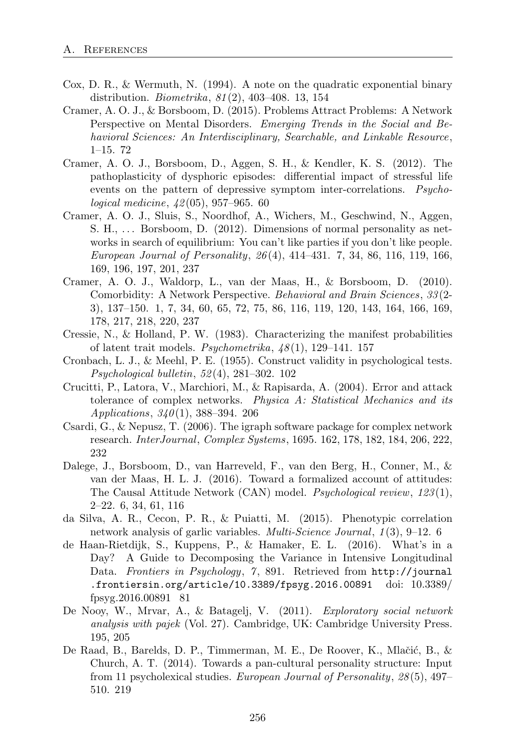- Cox, D. R., & Wermuth, N. (1994). A note on the quadratic exponential binary distribution. *Biometrika*, *81* (2), 403–408. 13, 154
- Cramer, A. O. J., & Borsboom, D. (2015). Problems Attract Problems: A Network Perspective on Mental Disorders. *Emerging Trends in the Social and Behavioral Sciences: An Interdisciplinary, Searchable, and Linkable Resource*, 1–15. 72
- Cramer, A. O. J., Borsboom, D., Aggen, S. H., & Kendler, K. S. (2012). The pathoplasticity of dysphoric episodes: differential impact of stressful life events on the pattern of depressive symptom inter-correlations. *Psychological medicine*, *42* (05), 957–965. 60
- Cramer, A. O. J., Sluis, S., Noordhof, A., Wichers, M., Geschwind, N., Aggen, S. H.,  $\ldots$  Borsboom, D. (2012). Dimensions of normal personality as networks in search of equilibrium: You can't like parties if you don't like people. *European Journal of Personality*, *26* (4), 414–431. 7, 34, 86, 116, 119, 166, 169, 196, 197, 201, 237
- Cramer, A. O. J., Waldorp, L., van der Maas, H., & Borsboom, D. (2010). Comorbidity: A Network Perspective. *Behavioral and Brain Sciences*, *33* (2- 3), 137–150. 1, 7, 34, 60, 65, 72, 75, 86, 116, 119, 120, 143, 164, 166, 169, 178, 217, 218, 220, 237
- Cressie, N., & Holland, P. W. (1983). Characterizing the manifest probabilities of latent trait models. *Psychometrika*, *48* (1), 129–141. 157
- Cronbach, L. J., & Meehl, P. E. (1955). Construct validity in psychological tests. *Psychological bulletin*, *52* (4), 281–302. 102
- Crucitti, P., Latora, V., Marchiori, M., & Rapisarda, A. (2004). Error and attack tolerance of complex networks. *Physica A: Statistical Mechanics and its Applications*, *340* (1), 388–394. 206
- Csardi, G., & Nepusz, T. (2006). The igraph software package for complex network research. *InterJournal*, *Complex Systems*, 1695. 162, 178, 182, 184, 206, 222, 232
- Dalege, J., Borsboom, D., van Harreveld, F., van den Berg, H., Conner, M., & van der Maas, H. L. J. (2016). Toward a formalized account of attitudes: The Causal Attitude Network (CAN) model. *Psychological review*, *123* (1), 2–22. 6, 34, 61, 116
- da Silva, A. R., Cecon, P. R., & Puiatti, M. (2015). Phenotypic correlation network analysis of garlic variables. *Multi-Science Journal*, *1* (3), 9–12. 6
- de Haan-Rietdijk, S., Kuppens, P., & Hamaker, E. L. (2016). What's in a Day? A Guide to Decomposing the Variance in Intensive Longitudinal Data. *Frontiers in Psychology*, *7* , 891. Retrieved from http://journal .frontiersin.org/article/10.3389/fpsyg.2016.00891 doi: 10.3389/ fpsyg.2016.00891 81
- De Nooy, W., Mrvar, A., & Batagelj, V. (2011). *Exploratory social network analysis with pajek* (Vol. 27). Cambridge, UK: Cambridge University Press. 195, 205
- De Raad, B., Barelds, D. P., Timmerman, M. E., De Roover, K., Mlačić, B., & Church, A. T. (2014). Towards a pan-cultural personality structure: Input from 11 psycholexical studies. *European Journal of Personality*, *28* (5), 497– 510. 219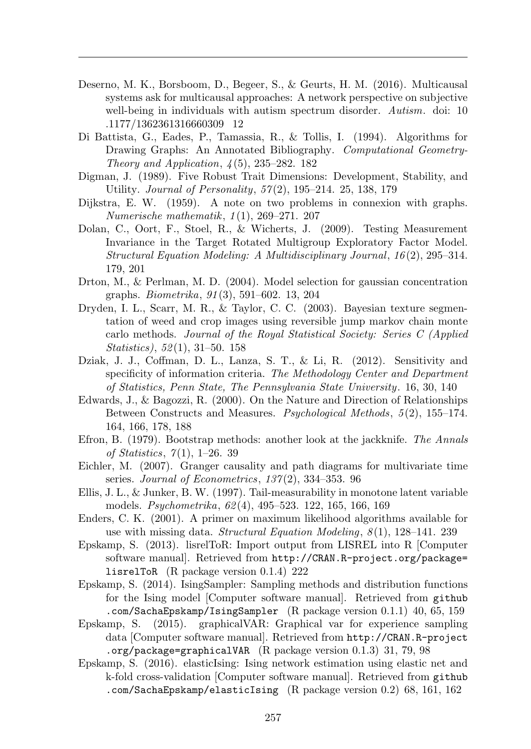- Deserno, M. K., Borsboom, D., Begeer, S., & Geurts, H. M. (2016). Multicausal systems ask for multicausal approaches: A network perspective on subjective well-being in individuals with autism spectrum disorder. *Autism*. doi: 10 .1177/1362361316660309 12
- Di Battista, G., Eades, P., Tamassia, R., & Tollis, I. (1994). Algorithms for Drawing Graphs: An Annotated Bibliography. *Computational Geometry-Theory and Application*, *4* (5), 235–282. 182
- Digman, J. (1989). Five Robust Trait Dimensions: Development, Stability, and Utility. *Journal of Personality*, *57* (2), 195–214. 25, 138, 179
- Dijkstra, E. W. (1959). A note on two problems in connexion with graphs. *Numerische mathematik*, *1* (1), 269–271. 207
- Dolan, C., Oort, F., Stoel, R., & Wicherts, J. (2009). Testing Measurement Invariance in the Target Rotated Multigroup Exploratory Factor Model. *Structural Equation Modeling: A Multidisciplinary Journal*, *16* (2), 295–314. 179, 201
- Drton, M., & Perlman, M. D. (2004). Model selection for gaussian concentration graphs. *Biometrika*, *91* (3), 591–602. 13, 204
- Dryden, I. L., Scarr, M. R., & Taylor, C. C. (2003). Bayesian texture segmentation of weed and crop images using reversible jump markov chain monte carlo methods. *Journal of the Royal Statistical Society: Series C (Applied Statistics)*, *52* (1), 31–50. 158
- Dziak, J. J., Coffman, D. L., Lanza, S. T., & Li, R. (2012). Sensitivity and specificity of information criteria. *The Methodology Center and Department of Statistics, Penn State, The Pennsylvania State University*. 16, 30, 140
- Edwards, J., & Bagozzi, R. (2000). On the Nature and Direction of Relationships Between Constructs and Measures. *Psychological Methods*, *5* (2), 155–174. 164, 166, 178, 188
- Efron, B. (1979). Bootstrap methods: another look at the jackknife. *The Annals of Statistics*, *7* (1), 1–26. 39
- Eichler, M. (2007). Granger causality and path diagrams for multivariate time series. *Journal of Econometrics*, *137* (2), 334–353. 96
- Ellis, J. L., & Junker, B. W. (1997). Tail-measurability in monotone latent variable models. *Psychometrika*, *62* (4), 495–523. 122, 165, 166, 169
- Enders, C. K. (2001). A primer on maximum likelihood algorithms available for use with missing data. *Structural Equation Modeling*, *8* (1), 128–141. 239
- Epskamp, S. (2013). lisrelToR: Import output from LISREL into R [Computer software manual]. Retrieved from http://CRAN.R-project.org/package= lisrelToR (R package version 0.1.4) 222
- Epskamp, S. (2014). IsingSampler: Sampling methods and distribution functions for the Ising model [Computer software manual]. Retrieved from github .com/SachaEpskamp/IsingSampler (R package version 0.1.1) 40, 65, 159
- Epskamp, S. (2015). graphicalVAR: Graphical var for experience sampling data [Computer software manual]. Retrieved from http://CRAN.R-project .org/package=graphicalVAR (R package version 0.1.3) 31, 79, 98
- Epskamp, S. (2016). elasticIsing: Ising network estimation using elastic net and k-fold cross-validation [Computer software manual]. Retrieved from github .com/SachaEpskamp/elasticIsing (R package version 0.2) 68, 161, 162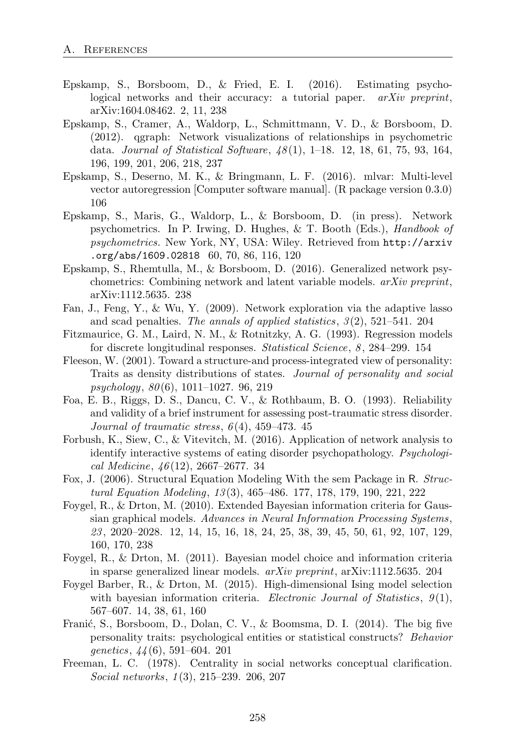- Epskamp, S., Borsboom, D., & Fried, E. I. (2016). Estimating psychological networks and their accuracy: a tutorial paper. *arXiv preprint*, arXiv:1604.08462. 2, 11, 238
- Epskamp, S., Cramer, A., Waldorp, L., Schmittmann, V. D., & Borsboom, D. (2012). qgraph: Network visualizations of relationships in psychometric data. *Journal of Statistical Software*, *48* (1), 1–18. 12, 18, 61, 75, 93, 164, 196, 199, 201, 206, 218, 237
- Epskamp, S., Deserno, M. K., & Bringmann, L. F. (2016). mlvar: Multi-level vector autoregression [Computer software manual]. (R package version 0.3.0) 106
- Epskamp, S., Maris, G., Waldorp, L., & Borsboom, D. (in press). Network psychometrics. In P. Irwing, D. Hughes, & T. Booth (Eds.), *Handbook of psychometrics.* New York, NY, USA: Wiley. Retrieved from http://arxiv .org/abs/1609.02818 60, 70, 86, 116, 120
- Epskamp, S., Rhemtulla, M., & Borsboom, D. (2016). Generalized network psychometrics: Combining network and latent variable models. *arXiv preprint*, arXiv:1112.5635. 238
- Fan, J., Feng, Y., & Wu, Y. (2009). Network exploration via the adaptive lasso and scad penalties. *The annals of applied statistics*, *3* (2), 521–541. 204
- Fitzmaurice, G. M., Laird, N. M., & Rotnitzky, A. G. (1993). Regression models for discrete longitudinal responses. *Statistical Science*, *8* , 284–299. 154
- Fleeson, W. (2001). Toward a structure-and process-integrated view of personality: Traits as density distributions of states. *Journal of personality and social psychology*, *80* (6), 1011–1027. 96, 219
- Foa, E. B., Riggs, D. S., Dancu, C. V., & Rothbaum, B. O. (1993). Reliability and validity of a brief instrument for assessing post-traumatic stress disorder. *Journal of traumatic stress*, *6* (4), 459–473. 45
- Forbush, K., Siew, C., & Vitevitch, M. (2016). Application of network analysis to identify interactive systems of eating disorder psychopathology. *Psychological Medicine*, *46* (12), 2667–2677. 34
- Fox, J. (2006). Structural Equation Modeling With the sem Package in R. *Structural Equation Modeling*, *13* (3), 465–486. 177, 178, 179, 190, 221, 222
- Foygel, R., & Drton, M. (2010). Extended Bayesian information criteria for Gaussian graphical models. *Advances in Neural Information Processing Systems*, *23* , 2020–2028. 12, 14, 15, 16, 18, 24, 25, 38, 39, 45, 50, 61, 92, 107, 129, 160, 170, 238
- Foygel, R., & Drton, M. (2011). Bayesian model choice and information criteria in sparse generalized linear models. *arXiv preprint*, arXiv:1112.5635. 204
- Foygel Barber, R., & Drton, M. (2015). High-dimensional Ising model selection with bayesian information criteria. *Electronic Journal of Statistics*, *9* (1), 567–607. 14, 38, 61, 160
- Franić, S., Borsboom, D., Dolan, C. V., & Boomsma, D. I. (2014). The big five personality traits: psychological entities or statistical constructs? *Behavior genetics*, *44* (6), 591–604. 201
- Freeman, L. C. (1978). Centrality in social networks conceptual clarification. *Social networks*, *1* (3), 215–239. 206, 207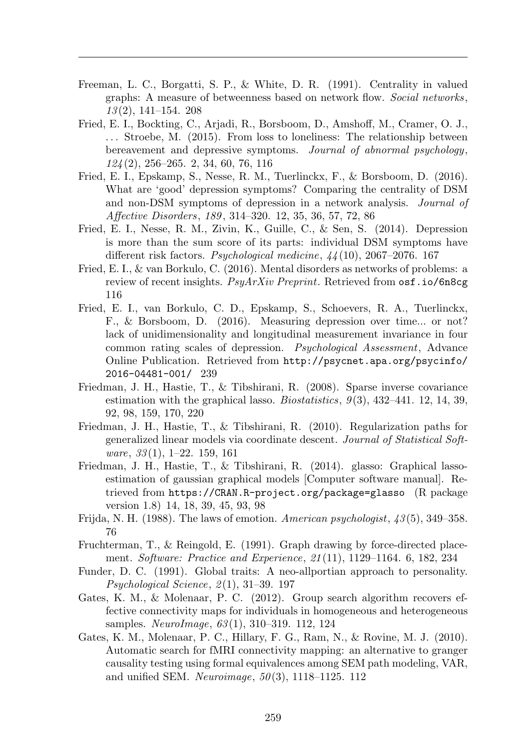- Freeman, L. C., Borgatti, S. P., & White, D. R. (1991). Centrality in valued graphs: A measure of betweenness based on network flow. *Social networks*, *13* (2), 141–154. 208
- Fried, E. I., Bockting, C., Ariadi, R., Borsboom, D., Amshoff, M., Cramer, O. J., . . . Stroebe, M. (2015). From loss to loneliness: The relationship between bereavement and depressive symptoms. *Journal of abnormal psychology*, *124* (2), 256–265. 2, 34, 60, 76, 116
- Fried, E. I., Epskamp, S., Nesse, R. M., Tuerlinckx, F., & Borsboom, D. (2016). What are 'good' depression symptoms? Comparing the centrality of DSM and non-DSM symptoms of depression in a network analysis. *Journal of A↵ective Disorders*, *189* , 314–320. 12, 35, 36, 57, 72, 86
- Fried, E. I., Nesse, R. M., Zivin, K., Guille, C., & Sen, S. (2014). Depression is more than the sum score of its parts: individual DSM symptoms have different risk factors. *Psychological medicine*,  $44(10)$ , 2067–2076. 167
- Fried, E. I., & van Borkulo, C. (2016). Mental disorders as networks of problems: a review of recent insights. *PsyArXiv Preprint*. Retrieved from osf.io/6n8cg 116
- Fried, E. I., van Borkulo, C. D., Epskamp, S., Schoevers, R. A., Tuerlinckx, F., & Borsboom, D. (2016). Measuring depression over time... or not? lack of unidimensionality and longitudinal measurement invariance in four common rating scales of depression. *Psychological Assessment*, Advance Online Publication. Retrieved from http://psycnet.apa.org/psycinfo/ 2016-04481-001/ 239
- Friedman, J. H., Hastie, T., & Tibshirani, R. (2008). Sparse inverse covariance estimation with the graphical lasso. *Biostatistics*, *9* (3), 432–441. 12, 14, 39, 92, 98, 159, 170, 220
- Friedman, J. H., Hastie, T., & Tibshirani, R. (2010). Regularization paths for generalized linear models via coordinate descent. *Journal of Statistical Software*, *33* (1), 1–22. 159, 161
- Friedman, J. H., Hastie, T., & Tibshirani, R. (2014). glasso: Graphical lassoestimation of gaussian graphical models [Computer software manual]. Retrieved from https://CRAN.R-project.org/package=glasso (R package version 1.8) 14, 18, 39, 45, 93, 98
- Frijda, N. H. (1988). The laws of emotion. *American psychologist*, *43* (5), 349–358. 76
- Fruchterman, T., & Reingold, E. (1991). Graph drawing by force-directed placement. *Software: Practice and Experience*, *21* (11), 1129–1164. 6, 182, 234
- Funder, D. C. (1991). Global traits: A neo-allportian approach to personality. *Psychological Science*, *2* (1), 31–39. 197
- Gates, K. M., & Molenaar, P. C. (2012). Group search algorithm recovers effective connectivity maps for individuals in homogeneous and heterogeneous samples. *NeuroImage*, *63* (1), 310–319. 112, 124
- Gates, K. M., Molenaar, P. C., Hillary, F. G., Ram, N., & Rovine, M. J. (2010). Automatic search for fMRI connectivity mapping: an alternative to granger causality testing using formal equivalences among SEM path modeling, VAR, and unified SEM. *Neuroimage*, *50* (3), 1118–1125. 112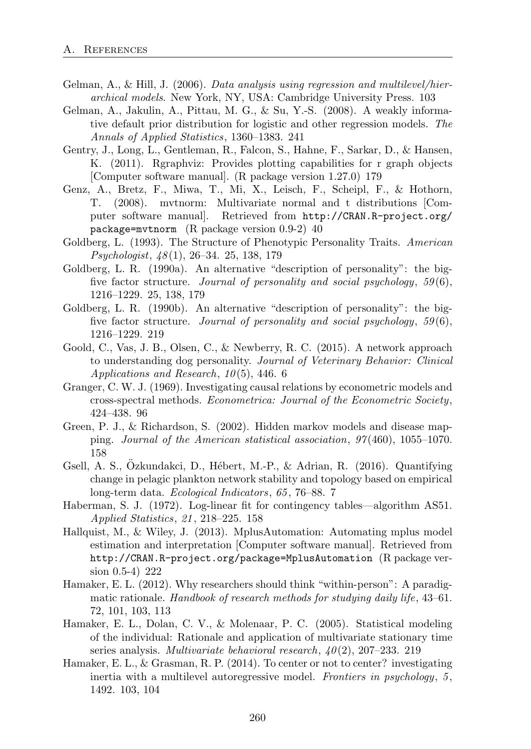- Gelman, A., & Hill, J. (2006). *Data analysis using regression and multilevel/hierarchical models*. New York, NY, USA: Cambridge University Press. 103
- Gelman, A., Jakulin, A., Pittau, M. G., & Su, Y.-S. (2008). A weakly informative default prior distribution for logistic and other regression models. *The Annals of Applied Statistics*, 1360–1383. 241
- Gentry, J., Long, L., Gentleman, R., Falcon, S., Hahne, F., Sarkar, D., & Hansen, K. (2011). Rgraphviz: Provides plotting capabilities for r graph objects [Computer software manual]. (R package version 1.27.0) 179
- Genz, A., Bretz, F., Miwa, T., Mi, X., Leisch, F., Scheipl, F., & Hothorn, T. (2008). mvtnorm: Multivariate normal and t distributions [Computer software manual]. Retrieved from http://CRAN.R-project.org/ package=mvtnorm (R package version 0.9-2) 40
- Goldberg, L. (1993). The Structure of Phenotypic Personality Traits. *American Psychologist*, *48* (1), 26–34. 25, 138, 179
- Goldberg, L. R. (1990a). An alternative "description of personality": the bigfive factor structure. *Journal of personality and social psychology*, *59* (6), 1216–1229. 25, 138, 179
- Goldberg, L. R. (1990b). An alternative "description of personality": the bigfive factor structure. *Journal of personality and social psychology*, *59* (6), 1216–1229. 219
- Goold, C., Vas, J. B., Olsen, C., & Newberry, R. C. (2015). A network approach to understanding dog personality. *Journal of Veterinary Behavior: Clinical Applications and Research*, *10* (5), 446. 6
- Granger, C. W. J. (1969). Investigating causal relations by econometric models and cross-spectral methods. *Econometrica: Journal of the Econometric Society*, 424–438. 96
- Green, P. J., & Richardson, S. (2002). Hidden markov models and disease mapping. *Journal of the American statistical association*, *97* (460), 1055–1070. 158
- Gsell, A. S., Özkundakci, D., Hébert, M.-P., & Adrian, R. (2016). Quantifying change in pelagic plankton network stability and topology based on empirical long-term data. *Ecological Indicators*, *65* , 76–88. 7
- Haberman, S. J. (1972). Log-linear fit for contingency tables—algorithm AS51. *Applied Statistics*, *21* , 218–225. 158
- Hallquist, M., & Wiley, J. (2013). MplusAutomation: Automating mplus model estimation and interpretation [Computer software manual]. Retrieved from http://CRAN.R-project.org/package=MplusAutomation (R package version 0.5-4) 222
- Hamaker, E. L. (2012). Why researchers should think "within-person": A paradigmatic rationale. *Handbook of research methods for studying daily life*, 43–61. 72, 101, 103, 113
- Hamaker, E. L., Dolan, C. V., & Molenaar, P. C. (2005). Statistical modeling of the individual: Rationale and application of multivariate stationary time series analysis. *Multivariate behavioral research*, *40* (2), 207–233. 219
- Hamaker, E. L., & Grasman, R. P. (2014). To center or not to center? investigating inertia with a multilevel autoregressive model. *Frontiers in psychology*, *5* , 1492. 103, 104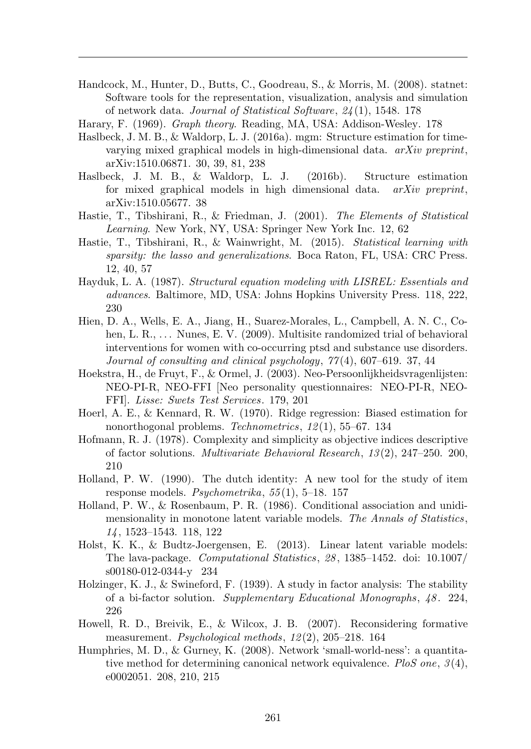Handcock, M., Hunter, D., Butts, C., Goodreau, S., & Morris, M. (2008). statnet: Software tools for the representation, visualization, analysis and simulation of network data. *Journal of Statistical Software*, *24* (1), 1548. 178

Harary, F. (1969). *Graph theory*. Reading, MA, USA: Addison-Wesley. 178

- Haslbeck, J. M. B., & Waldorp, L. J. (2016a). mgm: Structure estimation for timevarying mixed graphical models in high-dimensional data. *arXiv preprint*, arXiv:1510.06871. 30, 39, 81, 238
- Haslbeck, J. M. B., & Waldorp, L. J. (2016b). Structure estimation for mixed graphical models in high dimensional data. *arXiv preprint*, arXiv:1510.05677. 38
- Hastie, T., Tibshirani, R., & Friedman, J. (2001). *The Elements of Statistical Learning*. New York, NY, USA: Springer New York Inc. 12, 62
- Hastie, T., Tibshirani, R., & Wainwright, M. (2015). *Statistical learning with sparsity: the lasso and generalizations*. Boca Raton, FL, USA: CRC Press. 12, 40, 57
- Hayduk, L. A. (1987). *Structural equation modeling with LISREL: Essentials and advances*. Baltimore, MD, USA: Johns Hopkins University Press. 118, 222, 230
- Hien, D. A., Wells, E. A., Jiang, H., Suarez-Morales, L., Campbell, A. N. C., Cohen, L. R.,  $\dots$  Nunes, E. V. (2009). Multisite randomized trial of behavioral interventions for women with co-occurring ptsd and substance use disorders. *Journal of consulting and clinical psychology*, *77* (4), 607–619. 37, 44
- Hoekstra, H., de Fruyt, F., & Ormel, J. (2003). Neo-Persoonlijkheidsvragenlijsten: NEO-PI-R, NEO-FFI [Neo personality questionnaires: NEO-PI-R, NEO-FFI]. *Lisse: Swets Test Services*. 179, 201
- Hoerl, A. E., & Kennard, R. W. (1970). Ridge regression: Biased estimation for nonorthogonal problems. *Technometrics*, *12* (1), 55–67. 134
- Hofmann, R. J. (1978). Complexity and simplicity as objective indices descriptive of factor solutions. *Multivariate Behavioral Research*, *13* (2), 247–250. 200, 210
- Holland, P. W. (1990). The dutch identity: A new tool for the study of item response models. *Psychometrika*, *55* (1), 5–18. 157
- Holland, P. W., & Rosenbaum, P. R. (1986). Conditional association and unidimensionality in monotone latent variable models. *The Annals of Statistics*, *14* , 1523–1543. 118, 122
- Holst, K. K., & Budtz-Joergensen, E. (2013). Linear latent variable models: The lava-package. *Computational Statistics*, *28* , 1385–1452. doi: 10.1007/ s00180-012-0344-y 234
- Holzinger, K. J., & Swineford, F. (1939). A study in factor analysis: The stability of a bi-factor solution. *Supplementary Educational Monographs*, *48* . 224, 226
- Howell, R. D., Breivik, E., & Wilcox, J. B. (2007). Reconsidering formative measurement. *Psychological methods*, *12* (2), 205–218. 164
- Humphries, M. D., & Gurney, K. (2008). Network 'small-world-ness': a quantitative method for determining canonical network equivalence. *PloS one*, *3* (4), e0002051. 208, 210, 215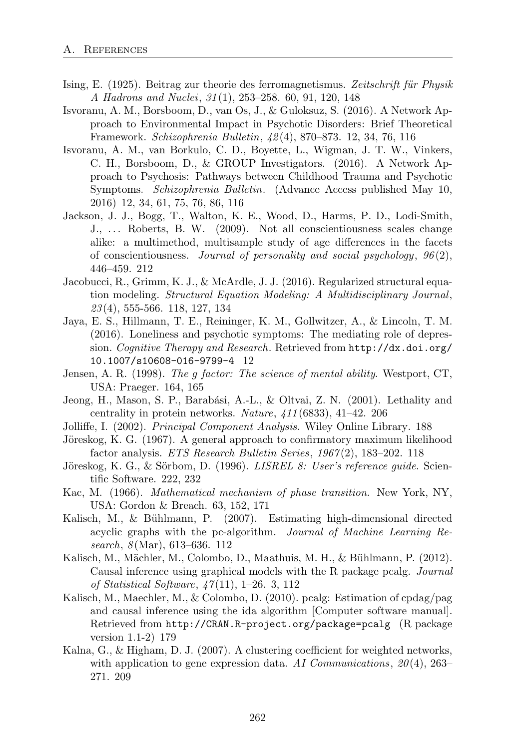- Ising, E. (1925). Beitrag zur theorie des ferromagnetismus. Zeitschrift für Physik *A Hadrons and Nuclei*, *31* (1), 253–258. 60, 91, 120, 148
- Isvoranu, A. M., Borsboom, D., van Os, J., & Guloksuz, S. (2016). A Network Approach to Environmental Impact in Psychotic Disorders: Brief Theoretical Framework. *Schizophrenia Bulletin*, *42* (4), 870–873. 12, 34, 76, 116
- Isvoranu, A. M., van Borkulo, C. D., Boyette, L., Wigman, J. T. W., Vinkers, C. H., Borsboom, D., & GROUP Investigators. (2016). A Network Approach to Psychosis: Pathways between Childhood Trauma and Psychotic Symptoms. *Schizophrenia Bulletin*. (Advance Access published May 10, 2016) 12, 34, 61, 75, 76, 86, 116
- Jackson, J. J., Bogg, T., Walton, K. E., Wood, D., Harms, P. D., Lodi-Smith, J., ... Roberts, B. W. (2009). Not all conscientiousness scales change alike: a multimethod, multisample study of age differences in the facets of conscientiousness. *Journal of personality and social psychology*, *96* (2), 446–459. 212
- Jacobucci, R., Grimm, K. J., & McArdle, J. J. (2016). Regularized structural equation modeling. *Structural Equation Modeling: A Multidisciplinary Journal*, *23* (4), 555-566. 118, 127, 134
- Jaya, E. S., Hillmann, T. E., Reininger, K. M., Gollwitzer, A., & Lincoln, T. M. (2016). Loneliness and psychotic symptoms: The mediating role of depression. *Cognitive Therapy and Research*. Retrieved from http://dx.doi.org/ 10.1007/s10608-016-9799-4 12
- Jensen, A. R. (1998). *The g factor: The science of mental ability*. Westport, CT, USA: Praeger. 164, 165
- Jeong, H., Mason, S. P., Barabási, A.-L., & Oltvai, Z. N. (2001). Lethality and centrality in protein networks. *Nature*, *411* (6833), 41–42. 206
- Jolliffe, I. (2002). *Principal Component Analysis*. Wiley Online Library. 188
- Jöreskog, K. G. (1967). A general approach to confirmatory maximum likelihood factor analysis. *ETS Research Bulletin Series*, *1967* (2), 183–202. 118
- Jöreskog, K. G., & Sörbom, D. (1996). *LISREL 8: User's reference quide*. Scientific Software. 222, 232
- Kac, M. (1966). *Mathematical mechanism of phase transition*. New York, NY, USA: Gordon & Breach. 63, 152, 171
- Kalisch, M., & Bühlmann, P. (2007). Estimating high-dimensional directed acyclic graphs with the pc-algorithm. *Journal of Machine Learning Research*, *8* (Mar), 613–636. 112
- Kalisch, M., Mächler, M., Colombo, D., Maathuis, M. H., & Bühlmann, P. (2012). Causal inference using graphical models with the R package pcalg. *Journal of Statistical Software*, *47* (11), 1–26. 3, 112
- Kalisch, M., Maechler, M., & Colombo, D. (2010). pcalg: Estimation of cpdag/pag and causal inference using the ida algorithm [Computer software manual]. Retrieved from http://CRAN.R-project.org/package=pcalg (R package version 1.1-2) 179
- Kalna, G., & Higham, D. J. (2007). A clustering coefficient for weighted networks, with application to gene expression data. *AI Communications*, *20* (4), 263– 271. 209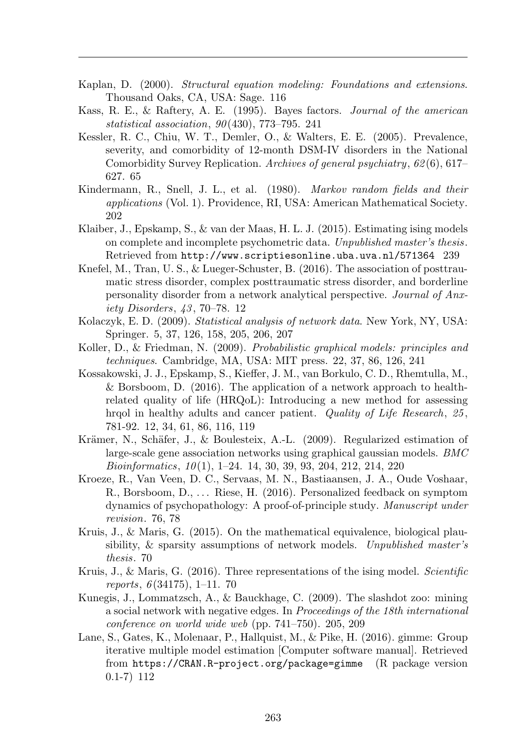- Kaplan, D. (2000). *Structural equation modeling: Foundations and extensions*. Thousand Oaks, CA, USA: Sage. 116
- Kass, R. E., & Raftery, A. E. (1995). Bayes factors. *Journal of the american statistical association*, *90* (430), 773–795. 241
- Kessler, R. C., Chiu, W. T., Demler, O., & Walters, E. E. (2005). Prevalence, severity, and comorbidity of 12-month DSM-IV disorders in the National Comorbidity Survey Replication. *Archives of general psychiatry*, *62* (6), 617– 627. 65
- Kindermann, R., Snell, J. L., et al. (1980). *Markov random fields and their applications* (Vol. 1). Providence, RI, USA: American Mathematical Society. 202
- Klaiber, J., Epskamp, S., & van der Maas, H. L. J. (2015). Estimating ising models on complete and incomplete psychometric data. *Unpublished master's thesis*. Retrieved from http://www.scriptiesonline.uba.uva.nl/571364 239
- Knefel, M., Tran, U. S., & Lueger-Schuster, B. (2016). The association of posttraumatic stress disorder, complex posttraumatic stress disorder, and borderline personality disorder from a network analytical perspective. *Journal of Anxiety Disorders*, *43* , 70–78. 12
- Kolaczyk, E. D. (2009). *Statistical analysis of network data*. New York, NY, USA: Springer. 5, 37, 126, 158, 205, 206, 207
- Koller, D., & Friedman, N. (2009). *Probabilistic graphical models: principles and techniques*. Cambridge, MA, USA: MIT press. 22, 37, 86, 126, 241
- Kossakowski, J. J., Epskamp, S., Kieffer, J. M., van Borkulo, C. D., Rhemtulla, M., & Borsboom, D. (2016). The application of a network approach to healthrelated quality of life (HRQoL): Introducing a new method for assessing hrqol in healthy adults and cancer patient. *Quality of Life Research*, *25* , 781-92. 12, 34, 61, 86, 116, 119
- Krämer, N., Schäfer, J., & Boulesteix, A.-L. (2009). Regularized estimation of large-scale gene association networks using graphical gaussian models. *BMC Bioinformatics*, *10* (1), 1–24. 14, 30, 39, 93, 204, 212, 214, 220
- Kroeze, R., Van Veen, D. C., Servaas, M. N., Bastiaansen, J. A., Oude Voshaar, R., Borsboom, D., ... Riese, H. (2016). Personalized feedback on symptom dynamics of psychopathology: A proof-of-principle study. *Manuscript under revision*. 76, 78
- Kruis, J., & Maris, G. (2015). On the mathematical equivalence, biological plausibility, & sparsity assumptions of network models. *Unpublished master's thesis*. 70
- Kruis, J., & Maris, G. (2016). Three representations of the ising model. *Scientific reports*, *6* (34175), 1–11. 70
- Kunegis, J., Lommatzsch, A., & Bauckhage, C. (2009). The slashdot zoo: mining a social network with negative edges. In *Proceedings of the 18th international conference on world wide web* (pp. 741–750). 205, 209
- Lane, S., Gates, K., Molenaar, P., Hallquist, M., & Pike, H. (2016). gimme: Group iterative multiple model estimation [Computer software manual]. Retrieved from https://CRAN.R-project.org/package=gimme (R package version 0.1-7) 112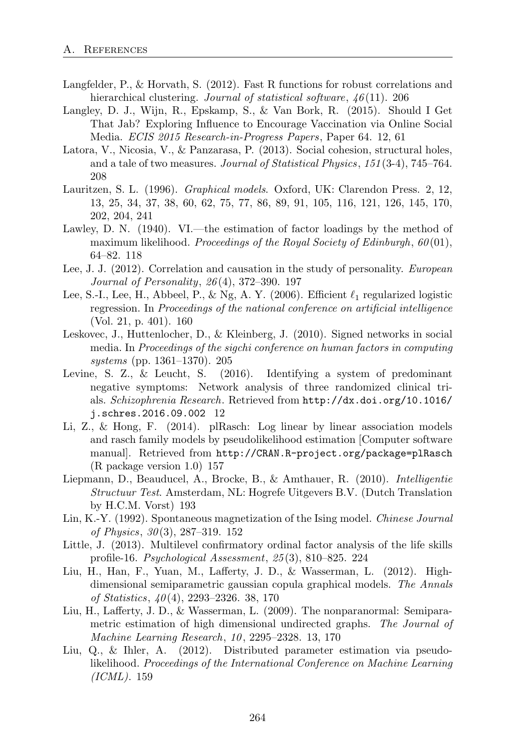- Langfelder, P., & Horvath, S. (2012). Fast R functions for robust correlations and hierarchical clustering. *Journal of statistical software*,  $46(11)$ . 206
- Langley, D. J., Wijn, R., Epskamp, S., & Van Bork, R. (2015). Should I Get That Jab? Exploring Influence to Encourage Vaccination via Online Social Media. *ECIS 2015 Research-in-Progress Papers*, Paper 64. 12, 61
- Latora, V., Nicosia, V., & Panzarasa, P. (2013). Social cohesion, structural holes, and a tale of two measures. *Journal of Statistical Physics*, *151* (3-4), 745–764. 208
- Lauritzen, S. L. (1996). *Graphical models*. Oxford, UK: Clarendon Press. 2, 12, 13, 25, 34, 37, 38, 60, 62, 75, 77, 86, 89, 91, 105, 116, 121, 126, 145, 170, 202, 204, 241
- Lawley, D. N. (1940). VI.—the estimation of factor loadings by the method of maximum likelihood. *Proceedings of the Royal Society of Edinburgh*, *60* (01), 64–82. 118
- Lee, J. J. (2012). Correlation and causation in the study of personality. *European Journal of Personality*, *26* (4), 372–390. 197
- Lee, S.-I., Lee, H., Abbeel, P., & Ng, A. Y. (2006). Efficient  $\ell_1$  regularized logistic regression. In *Proceedings of the national conference on artificial intelligence* (Vol. 21, p. 401). 160
- Leskovec, J., Huttenlocher, D., & Kleinberg, J. (2010). Signed networks in social media. In *Proceedings of the sigchi conference on human factors in computing systems* (pp. 1361–1370). 205
- Levine, S. Z., & Leucht, S. (2016). Identifying a system of predominant negative symptoms: Network analysis of three randomized clinical trials. *Schizophrenia Research*. Retrieved from http://dx.doi.org/10.1016/ j.schres.2016.09.002 12
- Li, Z., & Hong, F.  $(2014)$ . plRasch: Log linear by linear association models and rasch family models by pseudolikelihood estimation [Computer software manual]. Retrieved from http://CRAN.R-project.org/package=plRasch (R package version 1.0) 157
- Liepmann, D., Beauducel, A., Brocke, B., & Amthauer, R. (2010). *Intelligentie Structuur Test*. Amsterdam, NL: Hogrefe Uitgevers B.V. (Dutch Translation by H.C.M. Vorst) 193
- Lin, K.-Y. (1992). Spontaneous magnetization of the Ising model. *Chinese Journal of Physics*, *30* (3), 287–319. 152
- Little, J. (2013). Multilevel confirmatory ordinal factor analysis of the life skills profile-16. *Psychological Assessment*, *25* (3), 810–825. 224
- Liu, H., Han, F., Yuan, M., Lafferty, J. D., & Wasserman, L. (2012). Highdimensional semiparametric gaussian copula graphical models. *The Annals of Statistics*, *40* (4), 2293–2326. 38, 170
- Liu, H., Lafferty, J. D., & Wasserman, L.  $(2009)$ . The nonparanormal: Semiparametric estimation of high dimensional undirected graphs. *The Journal of Machine Learning Research*, *10* , 2295–2328. 13, 170
- Liu, Q., & Ihler, A. (2012). Distributed parameter estimation via pseudolikelihood. *Proceedings of the International Conference on Machine Learning (ICML)*. 159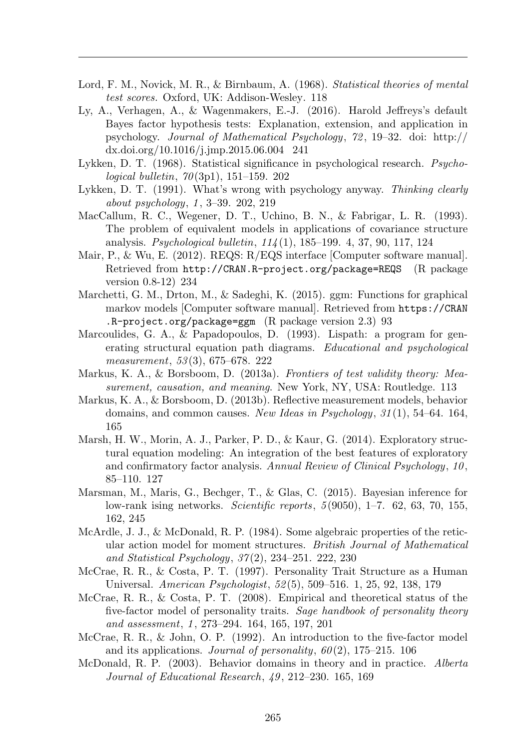- Lord, F. M., Novick, M. R., & Birnbaum, A. (1968). *Statistical theories of mental test scores.* Oxford, UK: Addison-Wesley. 118
- Ly, A., Verhagen, A., & Wagenmakers, E.-J.  $(2016)$ . Harold Jeffreys's default Bayes factor hypothesis tests: Explanation, extension, and application in psychology. *Journal of Mathematical Psychology*, *72* , 19–32. doi: http:// dx.doi.org/10.1016/j.jmp.2015.06.004 241
- Lykken, D. T. (1968). Statistical significance in psychological research. *Psychological bulletin*, *70* (3p1), 151–159. 202
- Lykken, D. T. (1991). What's wrong with psychology anyway. *Thinking clearly about psychology*, *1* , 3–39. 202, 219
- MacCallum, R. C., Wegener, D. T., Uchino, B. N., & Fabrigar, L. R. (1993). The problem of equivalent models in applications of covariance structure analysis. *Psychological bulletin*, *114* (1), 185–199. 4, 37, 90, 117, 124
- Mair, P., & Wu, E. (2012). REQS: R/EQS interface [Computer software manual]. Retrieved from http://CRAN.R-project.org/package=REQS (R package version 0.8-12) 234
- Marchetti, G. M., Drton, M., & Sadeghi, K. (2015). ggm: Functions for graphical markov models [Computer software manual]. Retrieved from https://CRAN .R-project.org/package=ggm (R package version 2.3) 93
- Marcoulides, G. A., & Papadopoulos, D. (1993). Lispath: a program for generating structural equation path diagrams. *Educational and psychological measurement*, *53* (3), 675–678. 222
- Markus, K. A., & Borsboom, D. (2013a). *Frontiers of test validity theory: Measurement, causation, and meaning*. New York, NY, USA: Routledge. 113
- Markus, K. A., & Borsboom, D. (2013b). Reflective measurement models, behavior domains, and common causes. *New Ideas in Psychology*, *31* (1), 54–64. 164, 165
- Marsh, H. W., Morin, A. J., Parker, P. D., & Kaur, G. (2014). Exploratory structural equation modeling: An integration of the best features of exploratory and confirmatory factor analysis. *Annual Review of Clinical Psychology*, *10* , 85–110. 127
- Marsman, M., Maris, G., Bechger, T., & Glas, C. (2015). Bayesian inference for low-rank ising networks. *Scientific reports*, *5* (9050), 1–7. 62, 63, 70, 155, 162, 245
- McArdle, J. J., & McDonald, R. P. (1984). Some algebraic properties of the reticular action model for moment structures. *British Journal of Mathematical and Statistical Psychology*, *37* (2), 234–251. 222, 230
- McCrae, R. R., & Costa, P. T. (1997). Personality Trait Structure as a Human Universal. *American Psychologist*, *52* (5), 509–516. 1, 25, 92, 138, 179
- McCrae, R. R., & Costa, P. T. (2008). Empirical and theoretical status of the five-factor model of personality traits. *Sage handbook of personality theory and assessment*, *1* , 273–294. 164, 165, 197, 201
- McCrae, R. R., & John, O. P. (1992). An introduction to the five-factor model and its applications. *Journal of personality*, *60* (2), 175–215. 106
- McDonald, R. P. (2003). Behavior domains in theory and in practice. *Alberta Journal of Educational Research*, *49* , 212–230. 165, 169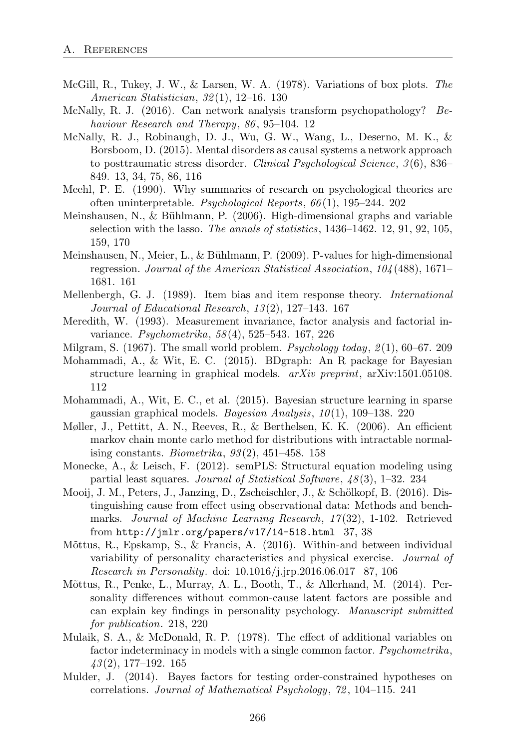- McGill, R., Tukey, J. W., & Larsen, W. A. (1978). Variations of box plots. *The American Statistician*, *32* (1), 12–16. 130
- McNally, R. J. (2016). Can network analysis transform psychopathology? *Behaviour Research and Therapy*, *86* , 95–104. 12
- McNally, R. J., Robinaugh, D. J., Wu, G. W., Wang, L., Deserno, M. K., & Borsboom, D. (2015). Mental disorders as causal systems a network approach to posttraumatic stress disorder. *Clinical Psychological Science*, *3* (6), 836– 849. 13, 34, 75, 86, 116
- Meehl, P. E. (1990). Why summaries of research on psychological theories are often uninterpretable. *Psychological Reports*, *66* (1), 195–244. 202
- Meinshausen, N.,  $\&$  Bühlmann, P. (2006). High-dimensional graphs and variable selection with the lasso. *The annals of statistics*, 1436–1462. 12, 91, 92, 105, 159, 170
- Meinshausen, N., Meier, L., & Bühlmann, P. (2009). P-values for high-dimensional regression. *Journal of the American Statistical Association*, *104* (488), 1671– 1681. 161
- Mellenbergh, G. J. (1989). Item bias and item response theory. *International Journal of Educational Research*, *13* (2), 127–143. 167
- Meredith, W. (1993). Measurement invariance, factor analysis and factorial invariance. *Psychometrika*, *58* (4), 525–543. 167, 226
- Milgram, S. (1967). The small world problem. *Psychology today*, *2* (1), 60–67. 209
- Mohammadi, A., & Wit, E. C. (2015). BDgraph: An R package for Bayesian structure learning in graphical models. *arXiv preprint*, arXiv:1501.05108. 112
- Mohammadi, A., Wit, E. C., et al. (2015). Bayesian structure learning in sparse gaussian graphical models. *Bayesian Analysis*, *10* (1), 109–138. 220
- Møller, J., Pettitt, A. N., Reeves, R., & Berthelsen, K. K. (2006). An efficient markov chain monte carlo method for distributions with intractable normalising constants. *Biometrika*, *93* (2), 451–458. 158
- Monecke, A., & Leisch, F. (2012). semPLS: Structural equation modeling using partial least squares. *Journal of Statistical Software*, *48* (3), 1–32. 234
- Mooij, J. M., Peters, J., Janzing, D., Zscheischler, J., & Schölkopf, B. (2016). Distinguishing cause from effect using observational data: Methods and benchmarks. *Journal of Machine Learning Research*, *17* (32), 1-102. Retrieved from  $http://jmlr.org/papers/v17/14-518.html$  37, 38
- Mõttus, R., Epskamp, S., & Francis, A. (2016). Within-and between individual variability of personality characteristics and physical exercise. *Journal of Research in Personality*. doi: 10.1016/j.jrp.2016.06.017 87, 106
- Mõttus, R., Penke, L., Murray, A. L., Booth, T., & Allerhand, M. (2014). Personality differences without common-cause latent factors are possible and can explain key findings in personality psychology. *Manuscript submitted for publication*. 218, 220
- Mulaik, S. A., & McDonald, R. P.  $(1978)$ . The effect of additional variables on factor indeterminacy in models with a single common factor. *Psychometrika*, *43* (2), 177–192. 165
- Mulder, J. (2014). Bayes factors for testing order-constrained hypotheses on correlations. *Journal of Mathematical Psychology*, *72* , 104–115. 241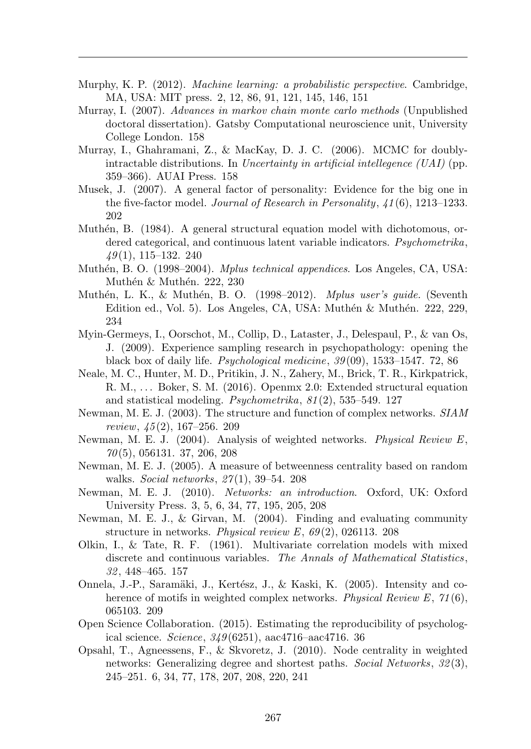- Murphy, K. P. (2012). *Machine learning: a probabilistic perspective*. Cambridge, MA, USA: MIT press. 2, 12, 86, 91, 121, 145, 146, 151
- Murray, I. (2007). *Advances in markov chain monte carlo methods* (Unpublished doctoral dissertation). Gatsby Computational neuroscience unit, University College London. 158
- Murray, I., Ghahramani, Z., & MacKay, D. J. C. (2006). MCMC for doublyintractable distributions. In *Uncertainty in artificial intellegence (UAI)* (pp. 359–366). AUAI Press. 158
- Musek, J. (2007). A general factor of personality: Evidence for the big one in the five-factor model. *Journal of Research in Personality*, *41* (6), 1213–1233. 202
- Muthén, B. (1984). A general structural equation model with dichotomous, ordered categorical, and continuous latent variable indicators. *Psychometrika*, *49* (1), 115–132. 240
- Muth´en, B. O. (1998–2004). *Mplus technical appendices*. Los Angeles, CA, USA: Muthén & Muthén. 222, 230
- Muth´en, L. K., & Muth´en, B. O. (1998–2012). *Mplus user's guide.* (Seventh Edition ed., Vol. 5). Los Angeles, CA, USA: Muthén & Muthén. 222, 229, 234
- Myin-Germeys, I., Oorschot, M., Collip, D., Lataster, J., Delespaul, P., & van Os, J. (2009). Experience sampling research in psychopathology: opening the black box of daily life. *Psychological medicine*, *39* (09), 1533–1547. 72, 86
- Neale, M. C., Hunter, M. D., Pritikin, J. N., Zahery, M., Brick, T. R., Kirkpatrick, R. M., . . . Boker, S. M. (2016). Openmx 2.0: Extended structural equation and statistical modeling. *Psychometrika*, *81* (2), 535–549. 127
- Newman, M. E. J. (2003). The structure and function of complex networks. *SIAM review*, *45* (2), 167–256. 209
- Newman, M. E. J. (2004). Analysis of weighted networks. *Physical Review E*, *70* (5), 056131. 37, 206, 208
- Newman, M. E. J. (2005). A measure of betweenness centrality based on random walks. *Social networks*, *27* (1), 39–54. 208
- Newman, M. E. J. (2010). *Networks: an introduction*. Oxford, UK: Oxford University Press. 3, 5, 6, 34, 77, 195, 205, 208
- Newman, M. E. J., & Girvan, M. (2004). Finding and evaluating community structure in networks. *Physical review E*, *69* (2), 026113. 208
- Olkin, I., & Tate, R. F. (1961). Multivariate correlation models with mixed discrete and continuous variables. *The Annals of Mathematical Statistics*, *32* , 448–465. 157
- Onnela, J.-P., Saramäki, J., Kertész, J., & Kaski, K. (2005). Intensity and coherence of motifs in weighted complex networks. *Physical Review E*, *71* (6), 065103. 209
- Open Science Collaboration. (2015). Estimating the reproducibility of psychological science. *Science*, *349* (6251), aac4716–aac4716. 36
- Opsahl, T., Agneessens, F., & Skvoretz, J. (2010). Node centrality in weighted networks: Generalizing degree and shortest paths. *Social Networks*, *32* (3), 245–251. 6, 34, 77, 178, 207, 208, 220, 241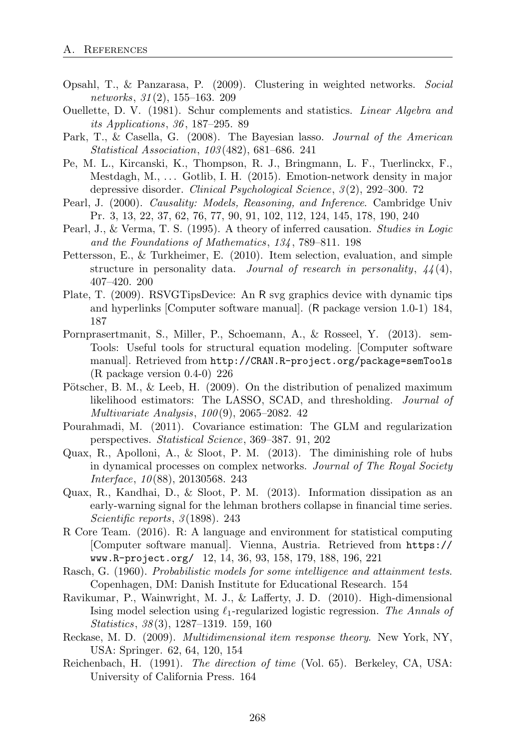- Opsahl, T., & Panzarasa, P. (2009). Clustering in weighted networks. *Social networks*, *31* (2), 155–163. 209
- Ouellette, D. V. (1981). Schur complements and statistics. *Linear Algebra and its Applications*, *36* , 187–295. 89
- Park, T., & Casella, G. (2008). The Bayesian lasso. *Journal of the American Statistical Association*, *103* (482), 681–686. 241
- Pe, M. L., Kircanski, K., Thompson, R. J., Bringmann, L. F., Tuerlinckx, F., Mestdagh, M., . . . Gotlib, I. H. (2015). Emotion-network density in major depressive disorder. *Clinical Psychological Science*, *3* (2), 292–300. 72
- Pearl, J. (2000). *Causality: Models, Reasoning, and Inference*. Cambridge Univ Pr. 3, 13, 22, 37, 62, 76, 77, 90, 91, 102, 112, 124, 145, 178, 190, 240
- Pearl, J., & Verma, T. S. (1995). A theory of inferred causation. *Studies in Logic and the Foundations of Mathematics*, *134* , 789–811. 198
- Pettersson, E., & Turkheimer, E. (2010). Item selection, evaluation, and simple structure in personality data. *Journal of research in personality*, *44* (4), 407–420. 200
- Plate, T. (2009). RSVGTipsDevice: An R svg graphics device with dynamic tips and hyperlinks [Computer software manual]. (R package version 1.0-1) 184, 187
- Pornprasertmanit, S., Miller, P., Schoemann, A., & Rosseel, Y. (2013). sem-Tools: Useful tools for structural equation modeling. [Computer software manual]. Retrieved from http://CRAN.R-project.org/package=semTools (R package version 0.4-0) 226
- Pötscher, B. M.,  $\&$  Leeb, H. (2009). On the distribution of penalized maximum likelihood estimators: The LASSO, SCAD, and thresholding. *Journal of Multivariate Analysis*, *100* (9), 2065–2082. 42
- Pourahmadi, M. (2011). Covariance estimation: The GLM and regularization perspectives. *Statistical Science*, 369–387. 91, 202
- Quax, R., Apolloni, A., & Sloot, P. M. (2013). The diminishing role of hubs in dynamical processes on complex networks. *Journal of The Royal Society Interface*, *10* (88), 20130568. 243
- Quax, R., Kandhai, D., & Sloot, P. M. (2013). Information dissipation as an early-warning signal for the lehman brothers collapse in financial time series. *Scientific reports*, *3* (1898). 243
- R Core Team. (2016). R: A language and environment for statistical computing [Computer software manual]. Vienna, Austria. Retrieved from https:// www.R-project.org/ 12, 14, 36, 93, 158, 179, 188, 196, 221
- Rasch, G. (1960). *Probabilistic models for some intelligence and attainment tests*. Copenhagen, DM: Danish Institute for Educational Research. 154
- Ravikumar, P., Wainwright, M. J., & Lafferty, J. D. (2010). High-dimensional Ising model selection using  $\ell_1$ -regularized logistic regression. *The Annals of Statistics*, *38* (3), 1287–1319. 159, 160
- Reckase, M. D. (2009). *Multidimensional item response theory*. New York, NY, USA: Springer. 62, 64, 120, 154
- Reichenbach, H. (1991). *The direction of time* (Vol. 65). Berkeley, CA, USA: University of California Press. 164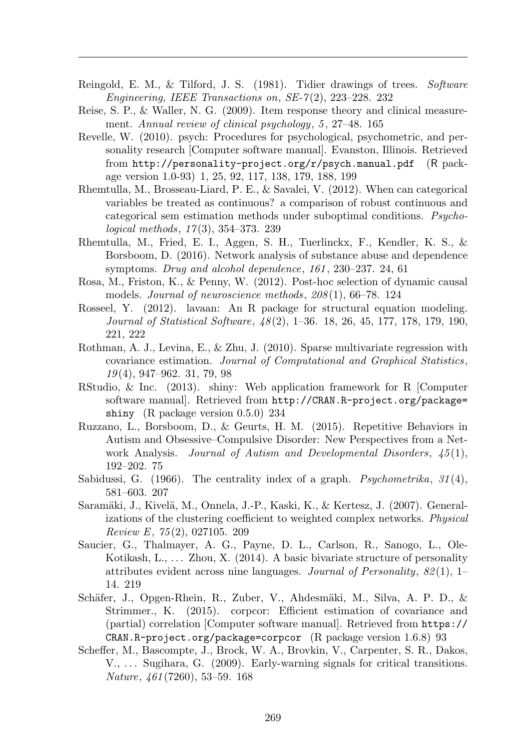- Reingold, E. M., & Tilford, J. S. (1981). Tidier drawings of trees. *Software Engineering, IEEE Transactions on*, *SE-7* (2), 223–228. 232
- Reise, S. P., & Waller, N. G. (2009). Item response theory and clinical measurement. *Annual review of clinical psychology*, *5* , 27–48. 165
- Revelle, W. (2010). psych: Procedures for psychological, psychometric, and personality research [Computer software manual]. Evanston, Illinois. Retrieved from http://personality-project.org/r/psych.manual.pdf (R package version 1.0-93) 1, 25, 92, 117, 138, 179, 188, 199
- Rhemtulla, M., Brosseau-Liard, P. E., & Savalei, V. (2012). When can categorical variables be treated as continuous? a comparison of robust continuous and categorical sem estimation methods under suboptimal conditions. *Psychological methods*, *17* (3), 354–373. 239
- Rhemtulla, M., Fried, E. I., Aggen, S. H., Tuerlinckx, F., Kendler, K. S., & Borsboom, D. (2016). Network analysis of substance abuse and dependence symptoms. *Drug and alcohol dependence*, *161* , 230–237. 24, 61
- Rosa, M., Friston, K., & Penny, W. (2012). Post-hoc selection of dynamic causal models. *Journal of neuroscience methods*, *208* (1), 66–78. 124
- Rosseel, Y. (2012). lavaan: An R package for structural equation modeling. *Journal of Statistical Software*, *48* (2), 1–36. 18, 26, 45, 177, 178, 179, 190, 221, 222
- Rothman, A. J., Levina, E., & Zhu, J. (2010). Sparse multivariate regression with covariance estimation. *Journal of Computational and Graphical Statistics*, *19* (4), 947–962. 31, 79, 98
- RStudio, & Inc. (2013). shiny: Web application framework for R [Computer software manual]. Retrieved from http://CRAN.R-project.org/package= shiny (R package version 0.5.0) 234
- Ruzzano, L., Borsboom, D., & Geurts, H. M. (2015). Repetitive Behaviors in Autism and Obsessive–Compulsive Disorder: New Perspectives from a Network Analysis. *Journal of Autism and Developmental Disorders*, *45* (1), 192–202. 75
- Sabidussi, G. (1966). The centrality index of a graph. *Psychometrika*, *31* (4), 581–603. 207
- Saramäki, J., Kivelä, M., Onnela, J.-P., Kaski, K., & Kertesz, J. (2007). Generalizations of the clustering coefficient to weighted complex networks. *Physical Review E*, *75* (2), 027105. 209
- Saucier, G., Thalmayer, A. G., Payne, D. L., Carlson, R., Sanogo, L., Ole-Kotikash, L., . . . Zhou, X. (2014). A basic bivariate structure of personality attributes evident across nine languages. *Journal of Personality*, *82* (1), 1– 14. 219
- Schäfer, J., Opgen-Rhein, R., Zuber, V., Ahdesmäki, M., Silva, A. P. D., & Strimmer., K. (2015). corpcor: Efficient estimation of covariance and (partial) correlation [Computer software manual]. Retrieved from https:// CRAN.R-project.org/package=corpcor  $(R$  package version 1.6.8) 93
- Scheffer, M., Bascompte, J., Brock, W. A., Brovkin, V., Carpenter, S. R., Dakos, V., ... Sugihara, G. (2009). Early-warning signals for critical transitions. *Nature*, *461* (7260), 53–59. 168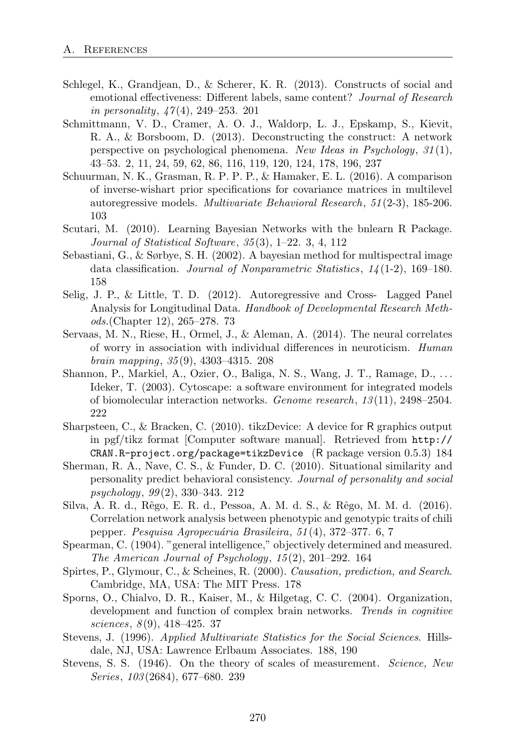- Schlegel, K., Grandjean, D., & Scherer, K. R. (2013). Constructs of social and emotional effectiveness: Different labels, same content? *Journal of Research in personality*, *47* (4), 249–253. 201
- Schmittmann, V. D., Cramer, A. O. J., Waldorp, L. J., Epskamp, S., Kievit, R. A., & Borsboom, D. (2013). Deconstructing the construct: A network perspective on psychological phenomena. *New Ideas in Psychology*, *31* (1), 43–53. 2, 11, 24, 59, 62, 86, 116, 119, 120, 124, 178, 196, 237
- Schuurman, N. K., Grasman, R. P. P. P., & Hamaker, E. L. (2016). A comparison of inverse-wishart prior specifications for covariance matrices in multilevel autoregressive models. *Multivariate Behavioral Research*, *51* (2-3), 185-206. 103
- Scutari, M. (2010). Learning Bayesian Networks with the bnlearn R Package. *Journal of Statistical Software*, *35* (3), 1–22. 3, 4, 112
- Sebastiani, G., & Sørbye, S. H. (2002). A bayesian method for multispectral image data classification. *Journal of Nonparametric Statistics*, *14* (1-2), 169–180. 158
- Selig, J. P., & Little, T. D. (2012). Autoregressive and Cross- Lagged Panel Analysis for Longitudinal Data. *Handbook of Developmental Research Methods.*(Chapter 12), 265–278. 73
- Servaas, M. N., Riese, H., Ormel, J., & Aleman, A. (2014). The neural correlates of worry in association with individual di↵erences in neuroticism. *Human brain mapping*, *35* (9), 4303–4315. 208
- Shannon, P., Markiel, A., Ozier, O., Baliga, N. S., Wang, J. T., Ramage, D., . . . Ideker, T. (2003). Cytoscape: a software environment for integrated models of biomolecular interaction networks. *Genome research*, *13* (11), 2498–2504. 222
- Sharpsteen, C., & Bracken, C. (2010). tikzDevice: A device for R graphics output in pgf/tikz format [Computer software manual]. Retrieved from http:// CRAN.R-project.org/package=tikzDevice (R package version 0.5.3) 184
- Sherman, R. A., Nave, C. S., & Funder, D. C. (2010). Situational similarity and personality predict behavioral consistency. *Journal of personality and social psychology*, *99* (2), 330–343. 212
- Silva, A. R. d., Rˆego, E. R. d., Pessoa, A. M. d. S., & Rˆego, M. M. d. (2016). Correlation network analysis between phenotypic and genotypic traits of chili pepper. *Pesquisa Agropecu´aria Brasileira*, *51* (4), 372–377. 6, 7
- Spearman, C. (1904). "general intelligence," objectively determined and measured. *The American Journal of Psychology*, *15* (2), 201–292. 164
- Spirtes, P., Glymour, C., & Scheines, R. (2000). *Causation, prediction, and Search*. Cambridge, MA, USA: The MIT Press. 178
- Sporns, O., Chialvo, D. R., Kaiser, M., & Hilgetag, C. C. (2004). Organization, development and function of complex brain networks. *Trends in cognitive sciences*, *8* (9), 418–425. 37
- Stevens, J. (1996). *Applied Multivariate Statistics for the Social Sciences*. Hillsdale, NJ, USA: Lawrence Erlbaum Associates. 188, 190
- Stevens, S. S. (1946). On the theory of scales of measurement. *Science, New Series*, *103* (2684), 677–680. 239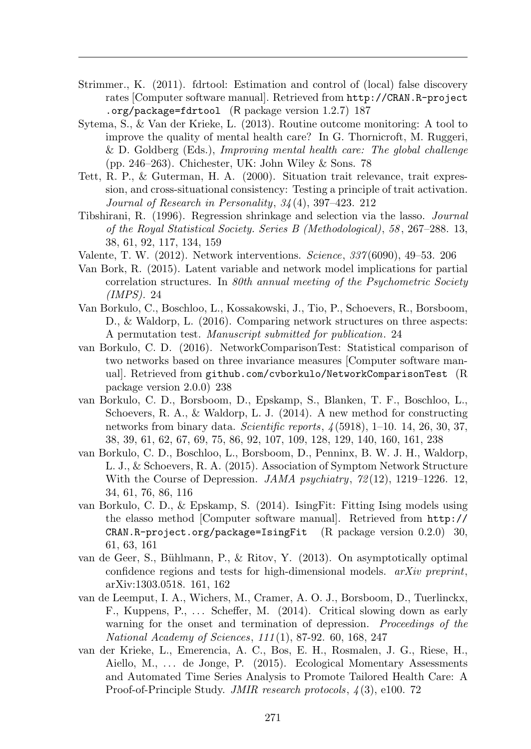- Strimmer., K. (2011). fdrtool: Estimation and control of (local) false discovery rates [Computer software manual]. Retrieved from http://CRAN.R-project .org/package=fdrtool (R package version 1.2.7) 187
- Sytema, S., & Van der Krieke, L. (2013). Routine outcome monitoring: A tool to improve the quality of mental health care? In G. Thornicroft, M. Ruggeri, & D. Goldberg (Eds.), *Improving mental health care: The global challenge* (pp. 246–263). Chichester, UK: John Wiley & Sons. 78
- Tett, R. P., & Guterman, H. A. (2000). Situation trait relevance, trait expression, and cross-situational consistency: Testing a principle of trait activation. *Journal of Research in Personality*, *34* (4), 397–423. 212
- Tibshirani, R. (1996). Regression shrinkage and selection via the lasso. *Journal of the Royal Statistical Society. Series B (Methodological)*, *58* , 267–288. 13, 38, 61, 92, 117, 134, 159
- Valente, T. W. (2012). Network interventions. *Science*, *337* (6090), 49–53. 206
- Van Bork, R. (2015). Latent variable and network model implications for partial correlation structures. In *80th annual meeting of the Psychometric Society (IMPS).* 24
- Van Borkulo, C., Boschloo, L., Kossakowski, J., Tio, P., Schoevers, R., Borsboom, D., & Waldorp, L. (2016). Comparing network structures on three aspects: A permutation test. *Manuscript submitted for publication*. 24
- van Borkulo, C. D. (2016). NetworkComparisonTest: Statistical comparison of two networks based on three invariance measures [Computer software manual]. Retrieved from github.com/cvborkulo/NetworkComparisonTest (R package version 2.0.0) 238
- van Borkulo, C. D., Borsboom, D., Epskamp, S., Blanken, T. F., Boschloo, L., Schoevers, R. A., & Waldorp, L. J. (2014). A new method for constructing networks from binary data. *Scientific reports*, *4* (5918), 1–10. 14, 26, 30, 37, 38, 39, 61, 62, 67, 69, 75, 86, 92, 107, 109, 128, 129, 140, 160, 161, 238
- van Borkulo, C. D., Boschloo, L., Borsboom, D., Penninx, B. W. J. H., Waldorp, L. J., & Schoevers, R. A. (2015). Association of Symptom Network Structure With the Course of Depression. *JAMA psychiatry*, *72* (12), 1219–1226. 12, 34, 61, 76, 86, 116
- van Borkulo, C. D., & Epskamp, S. (2014). IsingFit: Fitting Ising models using the elasso method [Computer software manual]. Retrieved from http:// CRAN.R-project.org/package=IsingFit (R package version 0.2.0) 30, 61, 63, 161
- van de Geer, S., Bühlmann, P., & Ritov, Y.  $(2013)$ . On asymptotically optimal confidence regions and tests for high-dimensional models. *arXiv preprint*, arXiv:1303.0518. 161, 162
- van de Leemput, I. A., Wichers, M., Cramer, A. O. J., Borsboom, D., Tuerlinckx, F., Kuppens, P.,  $\dots$  Scheffer, M. (2014). Critical slowing down as early warning for the onset and termination of depression. *Proceedings of the National Academy of Sciences*, *111* (1), 87-92. 60, 168, 247
- van der Krieke, L., Emerencia, A. C., Bos, E. H., Rosmalen, J. G., Riese, H., Aiello, M., ... de Jonge, P. (2015). Ecological Momentary Assessments and Automated Time Series Analysis to Promote Tailored Health Care: A Proof-of-Principle Study. *JMIR research protocols*, *4* (3), e100. 72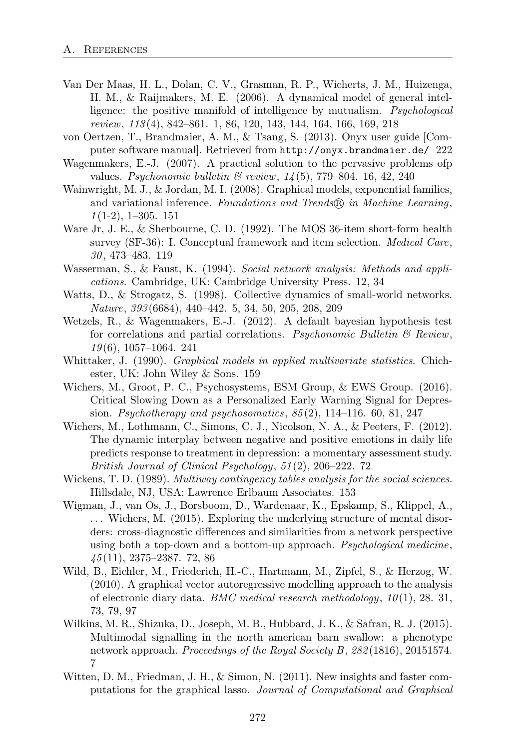- Van Der Maas, H. L., Dolan, C. V., Grasman, R. P., Wicherts, J. M., Huizenga, H. M., & Raijmakers, M. E. (2006). A dynamical model of general intelligence: the positive manifold of intelligence by mutualism. *Psychological review*, *113* (4), 842–861. 1, 86, 120, 143, 144, 164, 166, 169, 218
- von Oertzen, T., Brandmaier, A. M., & Tsang, S. (2013). Onyx user guide [Computer software manual]. Retrieved from http://onyx.brandmaier.de/ 222
- Wagenmakers, E.-J. (2007). A practical solution to the pervasive problems ofp values. *Psychonomic bulletin & review*, *14* (5), 779–804. 16, 42, 240
- Wainwright, M. J., & Jordan, M. I. (2008). Graphical models, exponential families, and variational inference. *Foundations and Trends�*<sup>R</sup> *in Machine Learning*, *1* (1-2), 1–305. 151
- Ware Jr, J. E., & Sherbourne, C. D. (1992). The MOS 36-item short-form health survey (SF-36): I. Conceptual framework and item selection. *Medical Care*, *30* , 473–483. 119
- Wasserman, S., & Faust, K. (1994). *Social network analysis: Methods and applications*. Cambridge, UK: Cambridge University Press. 12, 34
- Watts, D., & Strogatz, S. (1998). Collective dynamics of small-world networks. *Nature*, *393* (6684), 440–442. 5, 34, 50, 205, 208, 209
- Wetzels, R., & Wagenmakers, E.-J. (2012). A default bayesian hypothesis test for correlations and partial correlations. *Psychonomic Bulletin & Review*, *19* (6), 1057–1064. 241
- Whittaker, J. (1990). *Graphical models in applied multivariate statistics*. Chichester, UK: John Wiley & Sons. 159
- Wichers, M., Groot, P. C., Psychosystems, ESM Group, & EWS Group. (2016). Critical Slowing Down as a Personalized Early Warning Signal for Depression. *Psychotherapy and psychosomatics*, *85* (2), 114–116. 60, 81, 247
- Wichers, M., Lothmann, C., Simons, C. J., Nicolson, N. A., & Peeters, F. (2012). The dynamic interplay between negative and positive emotions in daily life predicts response to treatment in depression: a momentary assessment study. *British Journal of Clinical Psychology*, *51* (2), 206–222. 72
- Wickens, T. D. (1989). *Multiway contingency tables analysis for the social sciences*. Hillsdale, NJ, USA: Lawrence Erlbaum Associates. 153
- Wigman, J., van Os, J., Borsboom, D., Wardenaar, K., Epskamp, S., Klippel, A.,  $\ldots$  Wichers, M. (2015). Exploring the underlying structure of mental disorders: cross-diagnostic differences and similarities from a network perspective using both a top-down and a bottom-up approach. *Psychological medicine*, *45* (11), 2375–2387. 72, 86
- Wild, B., Eichler, M., Friederich, H.-C., Hartmann, M., Zipfel, S., & Herzog, W. (2010). A graphical vector autoregressive modelling approach to the analysis of electronic diary data. *BMC medical research methodology*, *10* (1), 28. 31, 73, 79, 97
- Wilkins, M. R., Shizuka, D., Joseph, M. B., Hubbard, J. K., & Safran, R. J. (2015). Multimodal signalling in the north american barn swallow: a phenotype network approach. *Proceedings of the Royal Society B*, *282* (1816), 20151574. 7
- Witten, D. M., Friedman, J. H., & Simon, N. (2011). New insights and faster computations for the graphical lasso. *Journal of Computational and Graphical*